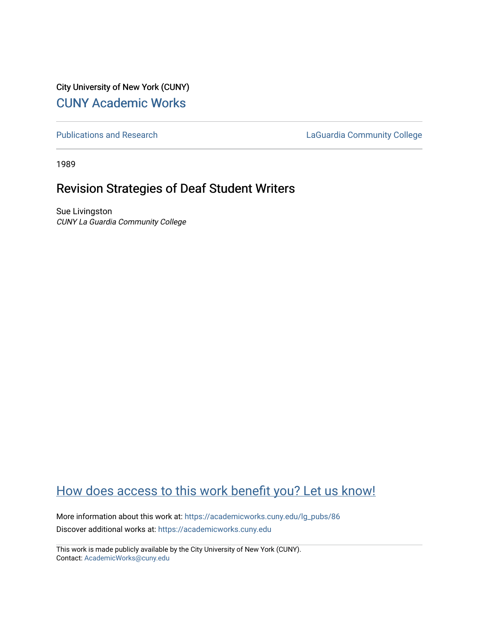City University of New York (CUNY) [CUNY Academic Works](https://academicworks.cuny.edu/) 

[Publications and Research](https://academicworks.cuny.edu/lg_pubs) **LaGuardia Community College** 

1989

## Revision Strategies of Deaf Student Writers

Sue Livingston CUNY La Guardia Community College

# [How does access to this work benefit you? Let us know!](http://ols.cuny.edu/academicworks/?ref=https://academicworks.cuny.edu/lg_pubs/86)

More information about this work at: [https://academicworks.cuny.edu/lg\\_pubs/86](https://academicworks.cuny.edu/lg_pubs/86)  Discover additional works at: [https://academicworks.cuny.edu](https://academicworks.cuny.edu/?)

This work is made publicly available by the City University of New York (CUNY). Contact: [AcademicWorks@cuny.edu](mailto:AcademicWorks@cuny.edu)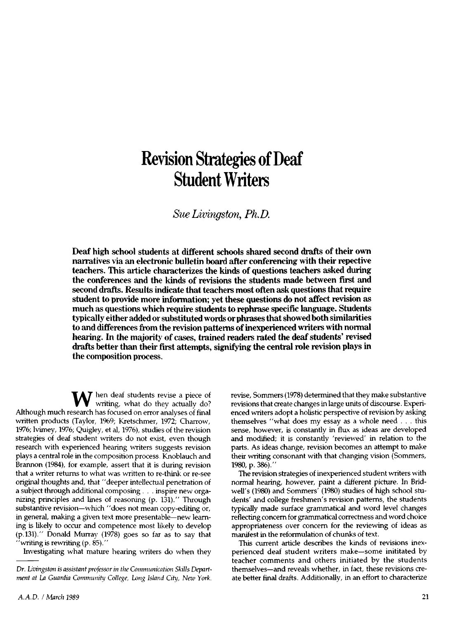# Revision Strategies of Deaf Student Writers

Sue Livingston, Ph.D.

Deaf high school students at different schools shared second drafts of their own narratives via an electronic bulletin board after conferencing with their repective teachers. This article characterizes the kinds of questions teachers asked during the conferences and the kinds of revisions the students made between first and second drafts. Results indicate that teachers most often ask questions that require student to provide more information; yet these questions do not affect revision as much as questions which require students to rephrase specific language. Students typically either added or substituted words or phrases that showed both similarities to and differences from the revision patterns of inexperienced writers with normal hearing. In the majority of cases, trained readers rated the deaf students' revised drafts better than their first attempts, signifying the central role revision plays in the composition process.

**W** hen deaf students revise a piece of writing, what do they actually do? Although much research has focused on error analyses of final written products (Taylor, 1969; Kretschmer, 1972; Charrow, 1976; Ivimey, 1976; Quigley, et al, 1976), studies of the revision strategies of deaf student writers do not exist, even though research with experienced hearing writers suggests revision plays a central role in the composition process. Knoblauch and Brannon (1984), for example, assert that it is during revision that a writer returns to what was written to re-think or re-see original thoughts and, that "deeper intellectual penetration of a subject through additional composing . . . inspire new organizing principles and lines of reasoning (p. 131)." Through substantive revision—which "does not mean copy-editing or, in general, making a given text more presentable—new learning is likely to occur and competence most likely to develop (p.131)." Donald Murray (1978) goes so far as to say that "writing is rewriting (p. 85)."

Investigating what mature hearing writers do when they

A.A.D. / March 1989 21

revise, Sommers (1978) determined that they make substantive revisions that create changes in large units of discourse. Experienced writers adopt a holistic perspective of revision by asking themselves "what does my essay as a whole need . . . this sense, however, is constantly in flux as ideas are developed and modified; it is constantly 'reviewed' in relation to the parts. As ideas change, revision becomes an attempt to make their writing consonant with that changing vision (Sommers, 1980, p. 386)."

The revision strategies of inexperienced student writers with normal hearing, however, paint a different picture. In Bridwell's (1980) and Sommers' (1980) studies of high school students' and college freshmen's revision patterns, the students typically made surface grammatical and word level changes reflecting concern for grammatical correctness and word choice appropriateness over concern for the reviewing of ideas as manifest in the reformulation of chunks of text.

This current article describes the kinds of revisions inexperienced deaf student writers make—some inititated by teacher comments and others initiated by the students themselves—and reveals whether, in fact, these revisions create better final drafts. Additionally, in an effort to characterize

Dr. Livingston is assistant professor in the Communication Skills Department at La Guardia Community College, Long Island City, New York.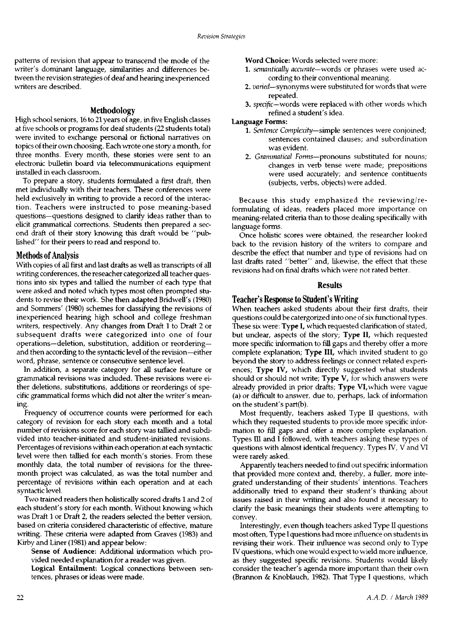patterns of revision that appear to transcend the mode of the writer's dominant language, similarities and differences between the revision strategies of deaf and hearing inexperienced writers are described.

### Methodology

High school seniors, 16 to 21 years of age, in five English classes at five schools or programs for deaf students (22 students total) were invited to exchange personal or fictional narratives on topics of their own choosing. Each wrote one story a month, for three months. Every month, these stories were sent to an electronic bulletin board via telecommunications equipment installed in each classroom.

To prepare a story, students formulated a first draft, then met individually with their teachers. These conferences were held exclusively in writing to provide a record of the interaction. Teachers were instructed to pose meaning-based questions—questions designed to clarify ideas rather than to elicit grammatical corrections. Students then prepared a second draft of their story knowing this draft would be "published" for their peers to read and respond to.

### Methods of Analysis

With copies of all first and last drafts as well as transcripts of all writing conferences, the reseacher categorized all teacher questions into six types and tallied the number of each type that were asked and noted which types most often prompted students to revise their work. She then adapted Bridwell's (1980) and Sommers' (1980) schemes for classifying the revisions of inexperienced hearing high school and college freshman writers, respectively. Any changes from Draft 1 to Draft 2 or subsequent drafts were categorized into one of four operations—deletion, substitution, addition or reordering and then according to the syntactic level of the revision—either word, phrase, sentence or consecutive sentence level.

In addition, a separate category for all surface feature or grammatical revisions was included. These revisions were either deletions, substitutions, additions or reorderings of specific grammatical forms which did not alter the writer's meaning.

Frequency of occurrence counts were performed for each category of revision for each story each month and a total number of revisions score for each story was tallied and subdivided into teacher-initiated and student-initiated revisions. Percentages of revisions within each operation at each syntactic level were then tallied for each month's stories. From these monthly data, the total number of revisions for the threemonth project was calculated, as was the total number and percentage of revisions within each operation and at each syntactic level.

Two trained readers then holistically scored drafts 1 and 2 of each student's story for each month. Without knowing which was Draft 1 or Draft 2, the readers selected the better version, based on criteria considered characteristic of effective, mature writing. These criteria were adapted from Graves (1983) and Kirby and Liner (1981) and appear below:

Sense of Audience: Additional information which provided needed explanation for a reader was given.

Logical Entailment: Logical connections between sentences, phrases or ideas were made.

Word Choice: Words selected were more:

- 1. semantically accurate—words or phrases were used according to their conventional meaning.
- 2. varied—synonyms were substituted for words that were repeated.
- 3. specific—words were replaced with other words which refined a student's idea.

### Language Forms:

- 1. Sentence Complexity—simple sentences were conjoined; sentences contained clauses; and subordination was evident.
- 2. Grammatical Forms—pronouns substituted for nouns; changes in verb tense were made; prepositions were used accurately; and sentence contituents (subjects, verbs, objects) were added.

Because this study emphasized the reviewing/reformulating of ideas, readers placed more importance on meaning-related criteria than to those dealing specifically with language forms.

Once holistic scores were obtained, the researcher looked back to the revision history of the writers to compare and describe the effect that number and type of revisions had on last drafts rated "better" and, likewise, the effect that these revisions had on final drafts which were not rated better.

### **Results**

### Teacher's Response to Student's Writing

When teachers asked students about their first drafts, their questions could be catergorized into one of six functional types. These six were: Type I, which requested clarification of stated, but unclear, aspects of the story; Type II, which requested more specific information to fill gaps and thereby offer a more complete explanation; Type HI, which invited student to go beyond the story to address feelings or connect related experiences; Type IV, which directly suggested what students should or should not write; Type  $V$ , for which answers were already provided in prior drafts; Type VI, which were vague (a) or difficult to answer, due to, perhaps, lack of information on the student's part(b).

Most frequently, teachers asked Type II questions, with which they requested students to provide more specific information to fill gaps and offer a more complete explanation. Types ΠΙ and I followed, with teachers asking these types of questions with almost identical frequency. Types IV, V and VI were rarely asked.

Apparently teachers needed to find out specifric information that provided more context and, thereby, a fuller, more integrated understanding of their students' intentions. Teachers additionally tried to expand their student's thinking about issues raised in their writing and also found it necessary to clarify the basic meanings their students were attempting to convey.

Interestingly, even though teachers asked Type Il questions most often, Type I questions had more influence on students in revising their work. Their influence was second only to Type IV questions, which one would expect to wield more influence, as they suggested specific revisions. Students would likely consider the teacher's agenda more important than their own (Brannon & Knoblauch, 1982). That Type I questions, which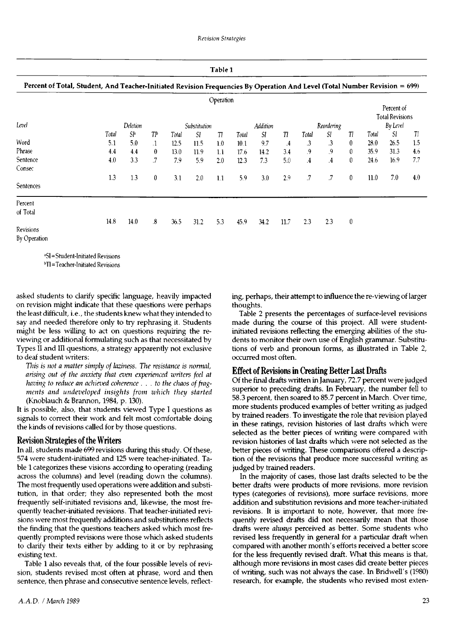| anle |  |
|------|--|

| Percent of Total, Student, And Teacher-Initiated Revision Frequencies By Operation And Level (Total Number Revision = 699) |       |           |                   |       |              |           |       |                 |         |            |                |          |                                      |          |     |  |  |
|----------------------------------------------------------------------------------------------------------------------------|-------|-----------|-------------------|-------|--------------|-----------|-------|-----------------|---------|------------|----------------|----------|--------------------------------------|----------|-----|--|--|
|                                                                                                                            |       |           |                   |       |              | Operation |       |                 |         |            |                |          |                                      |          |     |  |  |
|                                                                                                                            |       |           |                   |       |              |           |       |                 |         |            |                |          | Percent of<br><b>Total Revisions</b> |          |     |  |  |
| Level                                                                                                                      |       | Deletion  |                   |       | Substitution |           |       | <b>Addition</b> |         |            | Reordering     |          |                                      | By Level |     |  |  |
|                                                                                                                            | Total | $S^{\mu}$ | $T^p$             | Total | SI           | Π         | Total | SI              | TI      | Total      | SI             | TI       | Total                                | SI       | TI  |  |  |
| Word                                                                                                                       | 5.1   | 5.0       | $\cdot$           | 12.5  | 11.5         | 1.0       | 10.1  | 9.7             | $\cdot$ | .3         | $\cdot$ 3      | $\bf{0}$ | 28.0                                 | 26.5     | 1.5 |  |  |
| Phrase                                                                                                                     | 4.4   | 4.4       | $\bf{0}$          | 13.0  | 11.9         | 1.1       | 17.6  | 14.2            | 3.4     | .9         | .9             | 0        | 35.9                                 | 31.3     | 4.6 |  |  |
| Sentence                                                                                                                   | 4.0   | 3.3       | $\cdot$ 7         | 7.9   | 5.9          | 2.0       | 12.3  | 7.3             | 5.0     | .4         | .4             | 0        | 24.6                                 | 16.9     | 7.7 |  |  |
| Consec                                                                                                                     |       |           |                   |       |              |           |       |                 |         |            |                |          |                                      |          |     |  |  |
|                                                                                                                            | 1.3   | 1.3       | 0                 | 3.1   | 2.0          | 1.1       | 5.9   | 3.0             | 2.9     | $\cdot$ .7 | $\overline{J}$ | 0        | 11.0                                 | 7.0      | 4.0 |  |  |
| <b>Sentences</b>                                                                                                           |       |           |                   |       |              |           |       |                 |         |            |                |          |                                      |          |     |  |  |
| Percent                                                                                                                    |       |           |                   |       |              |           |       |                 |         |            |                |          |                                      |          |     |  |  |
| of Total                                                                                                                   |       |           |                   |       |              |           |       |                 |         |            |                |          |                                      |          |     |  |  |
|                                                                                                                            | 14.8  | 14.0      | $\boldsymbol{.8}$ | 36.5  | 31.2         | 5.3       | 45.9  | 34.2            | 11.7    | 2.3        | 2.3            | 0        |                                      |          |     |  |  |
| <b>Revisions</b>                                                                                                           |       |           |                   |       |              |           |       |                 |         |            |                |          |                                      |          |     |  |  |
| $D_{\alpha}$ . $\bigcap_{\alpha}$ $\bigcup_{\alpha}$                                                                       |       |           |                   |       |              |           |       |                 |         |            |                |          |                                      |          |     |  |  |

By Operation

aSI=Student-Initiated Revisions

bTI=Teacher-Initiated Revisions

asked students to clarify specific language, heavily impacted<br>on revision might indicate that these questions were perhaps the least difficult, i.e., the students knew what they intended to say and needed therefore only to try rephrasing it. Students might be less willing to act on questions requiring the reviewing or additional formulating such as that necessitated by viewing or additional formulating such as that necessitated by Types II and III questions, a strategy apparently not exclusive to deaf student writers:<br>This is not a matter simply of laziness. The resistance is normal,

arising out of the anxiety that even experienced writers feel at having to reduce an achieved coherence  $\ldots$  to the chaos of fraghaving to reduce an achieved concretice . . . to the chaos of fragments and undeveloped insights from which they started

(Knoblauch & Brannon, 1984, p. 130).<br>It is possible, also, that students viewed Type I questions as signals to correct their work and felt most comfortable doing signals to correct their work and felt most comfortable doing the kinds of revisions called for by those questions.

**Revision Strategies of the Writers**<br>In all, students made 699 revisions during this study. Of these, In all, students made 699 revisions during this study. Of these, 574 were student-initiated and 125 were teacher-initiated. Table 1 categorizes these visions according to operating (reading across the columns) and level (reading down the columns). The most frequently used operations were addition and substitution, in that order; they also represented both the most frequently self-initiated revisions and, likewise, the most frequently teacher-initiated revisions. That teacher-initiated revisions were most frequently additions and substitutions reflects the finding that the questions teachers asked which most frequently prompted revisions were those which asked students quently prompted revisions were those which asked students to clarify their texts either by adding to it or by rephrasing existing text.<br>Table 1 also reveals that, of the four possible levels of revi-

sion, students revised most often at phrase, word and then sion, students revised most often at phrase, word and then sentence, then phrase and consecutive sentence levels, reflecting, perhaps, their attempt to influence the re-viewing of larger

Table 2 presents the percentages of surface-level revisions made during the course of this project. All were studentinitiated revisions reflecting the emerging abilities of the students to monitor their own use of English grammar. Substitudents to monitor their own use of English grammar. Substitutions of verb and pronoun forms, as illustrated in Table 2, occurred most often.

**Effect of Revisions in Creating Better Last Drafts**<br>Of the final drafts written in January, 72.7 percent were judged superior to preceding drafts. In February, the number fell to 58.3 percent, then soared to 85.7 percent in March. Over time, more students produced examples of better writing as judged by trained readers. To investigate the role that revision played in these ratings, revision histories of last drafts which were selected as the better pieces of writing were compared with selected as the better pieces of writing were compared with revision histories of last drafts which were not selected as the better pieces of writing. These comparisons offered a description of the revisions that produce more successful writing as judged by trained readers.<br>In the majority of cases, those last drafts selected to be the

better drafts were products of more revisions, more revision types (categories of revisions), more surface revisions, more types (categories of revisions), more surface revisions, more addition and substitution revisions and more teacher-initiated revisions. It is important to note, however, that more frequently revised drafts did not necessarily mean that those drafts were always perceived as better. Some students who revised less frequently in general for a particular draft when compared with another month's efforts received a better score for the less frequently revised draft. What this means is that, although more revisions in most cases did create better pieces of writing, such was not always the case. In Bridwell's (1980) of writing, such was not always the case. In Bridwell's (1980) research, for example, the students who revised most exten-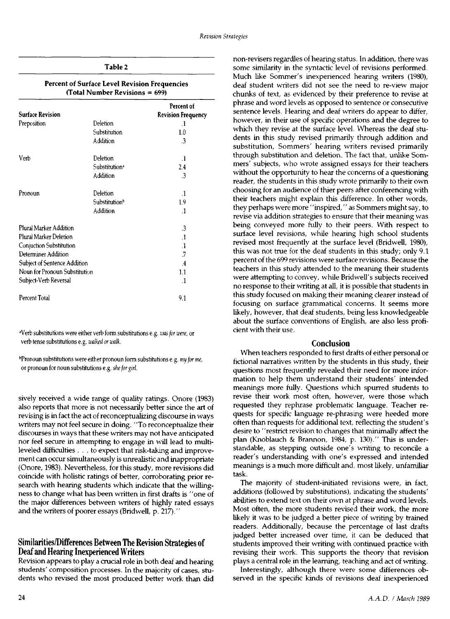### Table 2

### Percent of Surface Level Revision Frequencies (Total Number Revisions = 699)

| <b>Surface Revision</b>       |                           | Percent of         |
|-------------------------------|---------------------------|--------------------|
|                               |                           | Revision Frequency |
| Preposition                   | Deletion                  | $\cdot$ 1          |
|                               | Substitution              | 1.0                |
|                               | Addition                  | .3                 |
| Verb                          | Deletion                  | $\cdot$ 1          |
|                               | Substitution <sup>3</sup> | 2.4                |
|                               | Addition                  | .3                 |
| Pronoun                       | Deletion                  | $\cdot$            |
|                               | Substitution <sup>b</sup> | 19                 |
|                               | Addition                  | .1                 |
| Plural Marker Addition        |                           | .3                 |
| Plural Marker Deletion        |                           | $\cdot$            |
| Conjuction Substitution       |                           | $\cdot$ 1          |
| Determiner Addition           | .7                        |                    |
| Subject of Sentence Addition  | $\mathcal{A}$             |                    |
| Noun for Pronoun Substitution | 1.1                       |                    |
| Subject-Verb Reversal         |                           | $\cdot$ 1          |
| Percent Total                 |                           | 9.1                |

aVerb substitutions were either verb form substitutions e.g. was for were, or verb tense substitutions e.g. walked or walk.

**bPronoun substitutions were either pronoun form substitutions e.g.**  $m\psi$  **for me,** or pronoun for noun substitutions e.g. she for girl.

sively received a wide range of quality ratings. Onore (1983) also reports that more is not necessarily better since the art of revising is in fact the act of reconceptualizing discourse in ways writers may not feel secure in doing. "To reconceptualize their discourses in ways that these writers may not have anticipated nor feel secure in attempting to engage in will lead to multileveled difficulties ... to expect that risk-taking and improvement can occur simultaneously is unrealistic and inappropriate (Onore, 1983). Nevertheless, for this study, more revisions did coincide with holistic ratings of better, corroborating prior research with hearing students which indicate that the willingness to change what has been written in first drafts is "one of the major differences between writers of highly rated essays and the writers of poorer essays (Bridwell, p. 217)."

### Similarities/Differences Between The Revision Strategies of Deaf and Hearing Inexperienced Writers

Revision appears to play a crucial role in both deaf and hearing students' composition processes. In the majority of cases, students who revised the most produced better work than did

non-revisers regardles of hearing status. In addition, there was some similarity in the syntactic level of revisions performed. Much like Sommer's inexperienced hearing writers (1980), deaf student writers did not see the need to re-view major chunks of text, as evidenced by their preference to revise at phrase and word levels as opposed to sentence or consecutive sentence levels. Hearing and deaf writers do appear to differ, however, in their use of specific operations and the degree to which they revise at the surface level. Whereas the deaf students in this study revised primarily through addition and substitution, Sommers' hearing writers revised primarily through substitution and deletion. The fact that, unlike Sommers' subjects, who wrote assigned essays for their teachers without the opportunity to hear the concerns of a questioning reader, the students in this study wrote primarily to their own choosing for an audience of thier peers after conferencing with their teachers might explain this difference. In other words, they perhaps were more "inspired, ' ' as Sommers might say, to revise via addition strategies to ensure that their meaning was being conveyed more fully to their peers. With respect to surface level revisions, while hearing high school students revised most frequently at the surface level (Bridwell, 1980), this was not true for the deaf students in this study; only 9.1 percent of the 699 revisions were surface revisions. Because the teachers in this study attended to the meaning their students were attempting to convey, while Bridwell's subjects received no response to their writing at all, it is possible that students in this study focused on making their meaning clearer instead of focusing on surface grammatical concerns. It seems more likely, however, that deaf students, being less knowledgeable about the surface conventions of English, are also less proficient with their use.

### **Conclusion**

When teachers responded to first drafts of either personal or fictional narratives written by the students in this study, their questions most frequently revealed their need for more information to help them understand their students' intended meanings more fully. Questions which spurred students to revise their work most often, however, were those which requested they rephrase problematic language. Teacher requests for specific language re-phrasing were heeded more often than requests for additional text, reflecting the student's desire to "restrict revision to changes that minimally affect the plan (Knoblauch & Brannon, 1984, p. 130)." This is understandable, as stepping outside one's writing to reconcile a reader's understanding with one's expressed and intended meanings is a much more difficult and, most likely, unfamiliar task.

The majority of student-initiated revisions were, in fact, additions (followed by substitutions), indicating the students' abilities to extend text on their own at phrase and word levels. Most often, the more students revised their work, the more likely it was to be judged a better piece of writing by trained readers. Additionally, because the percentage of last drafts judged better increased over time, it can be deduced that students improved their writing with continued practice with revising their work. This supports the theory that revision plays a central role in the learning, teaching and act of writing.

Interestingly, although there were some differences observed in the specific kinds of revisions deaf inexperienced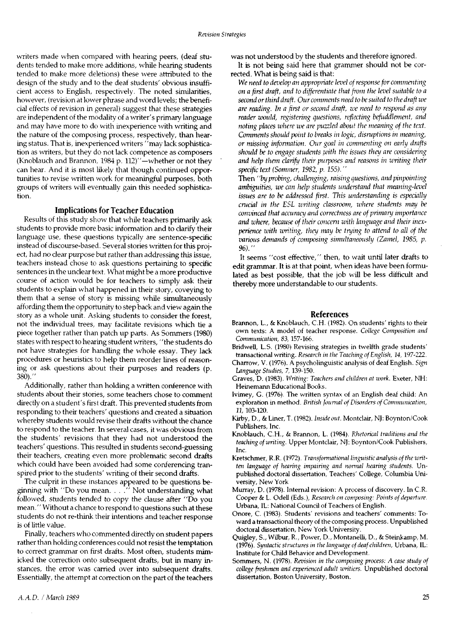writers made when compared with hearing peers, (deaf students tended to make more additions, while hearing students tended to make more deletions) these were attributed to the design of the study and to the deaf students' obvious insufficient access to English, respectively. The noted similarities, however, (revision at lower phrase and word levels; the beneficial effects of revision in general) suggest that these strategies are independent of the modality of a writer's primary language and may have more to do with inexperience with writing and the nature of the composing process, respectively, than hearing status. That is, inexperienced writers "may lack sophistication as writers, but they do not lack competence as composers (Knoblauch and Brannon, 1984 p. 112)"—whether or not they can hear. And it is most likely that though continued opportunities to revise written work for meaningful purposes, both groups of writers will eventually gain this needed sophistication.

### Implications for Teacher Education

Results of this study show that while teachers primarily ask students to provide more basic information and to clarify their language use, these questions typically are sentence-specific instead of discourse-based. Several stories written for this project, had no clear purpose but rather than addressing this issue, teachers instead chose to ask questions pertaining to specific sentences in the unclear text. What might be a more productive course of action would be for teachers to simply ask their students to explain what happened in their story, coveying to them that a sense of story is missing while simultaneously affording them the opportunity to step back and view again the story as a whole unit. Asking students to consider the forest, not the individual trees, may facilitate revisions which tie a piece together rather than patch up parts. As Sommers (1980) states with respect to hearing student writers, "the students do not have strategies for handling the whole essay. They lack procedures or heuristics to help them reorder lines of reasoning or ask questions about their purposes and readers (p. 380)."

Additionally, rather than holding a written conference with students about their stories, some teachers chose to comment directly on a student's first draft. This prevented students from responding to their teachers' questions and created a situation whereby students would revise their drafts without the chance to respond to the teacher. In several cases, it was obvious from the students' revisions that they had not understood the teachers' questions. This resulted in students second-guessing their teachers, creating even more problematic second drafts which could have been avoided had some conferencing transpired prior to the students' writing of their second drafts.

The culprit in these instances appeared to be questions beginning with "Do you mean. . . . " Not understanding what followed, students tended to copy the clause after "Do you mean." Without a chance to respond to questions such at these students do not re-think their intentions and teacher response is of little value.

Finally, teachers who commented directly on student papers rather than holding conferences could not resist the temptation to correct grammar on first drafts. Most often, students mimicked the correction onto subsequent drafts, but in many instances, the error was carried over into subsequent drafts. Essentially, the attempt at correction on the part of the teachers was not understood by the students and therefore ignored.

It is not being said here that grammer should not be corrected. What is being said is that:

We need to develop an appropriate level of response for commenting on a first draft, and to differentiate that from the level suitable to a second or third draft. Our comments need to be suited to the draft we are reading. In a first or second draft, we need to respond as any reader would, registering questions, reflecting befuddlement, and noting places where we are puzzled about the meaning of the text. Comments should point to breaks in logic, disruptions in meaning, or missing information. Our goal in commenting on early drafts should be to engage students with the issues they are considering and help them clarify their purposes and reasons in writing their specific text (Sommer, 1982, p. 155). "

Then "by probing, challenging, raising questions, and pinpointing ambiguities, we can help students understand that meaning-level issues are to be addressed first. This understanding is especially crucial in the ESL writing classroom, where students may be convinced that accuracy and correctness are of primary importance and where, because of their concern with language and their inexperience with writing, they may be trying to attend to all of the various demands of composing simultaneously (Zamel, 1985, p. 96)."

It seems "cost effective," then, to wait until later drafts to edit grammar. It is at that point, when ideas have been formulated as best possible, that the job will be less difficult and thereby more understandable to our students.

### References

- Brannon, L., & Knoblauch, C.H. (1982). On students' rights to their own texts: A model of teacher response. College Composition and Communication, 83,157-166.
- Bridwell, L.S. (1980) Revising strategies in twelfth grade students' transactional writing. Research in the Teaching of English, 14,197-222.
- Charrow, V. (1976). A psycholinguistic analysis of deaf English. Sign Language Studies, 7, 139-150.
- Graves, D. (1983). Writing: Teachers and children at work. Exeter, NH: Heinemann Educational Books.
- Ivimey, G. (1976). The written syntax of an English deaf child: An exploration in method. British journal of Disorders of Communication, 11,103-120.
- Kirby, D., & Liner, T. (1982). Inside out. Montclair, NJ: Boynton/Cook Publishers, Inc.
- Knoblauch, C.H., & Brannon, L. (1984). Rhetorical traditions and the teaching of writing. Upper Montclair, N]: Boynton/Cook Publishers, Inc.
- Kretschmer, R.R. (1972). Transformational linguistic analysis of the written language of hearing impairing and normal hearing students. Unpublished doctoral dissertation, Teachers' College, Columbia University, New York
- Murray, D. (1978). Internal revision: A process of discovery. In CR. Cooper & L. Odell (Eds.), Research on composing: Points of departure. Urbana, IL: National Council of Teachers of English.
- Onore, C. (1983). Students' revisions and teachers' comments: Toward a transactional theory of the composing process. Unpublished doctoral dissertation, New York University.
- Quigley, S., Wilbur, R., Power, D., Montanelli, D., & Steinkamp, M. (1976). Syntactic structures in the language of deaf children, Urbana, IL: Institute for Child Behavior and Development.
- Sommers, N. (1978). Revision in the composing process: A case study of college freshmen and experienced adult writiers. Unpublished doctoral dissertation, Boston University, Boston.